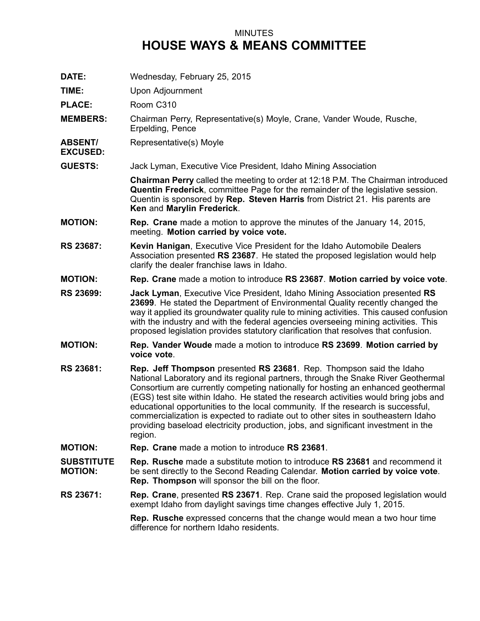## MINUTES **HOUSE WAYS & MEANS COMMITTEE**

- **DATE:** Wednesday, February 25, 2015
- **TIME:** Upon Adjournment

**PLACE:** Room C310

- **MEMBERS:** Chairman Perry, Representative(s) Moyle, Crane, Vander Woude, Rusche, Erpelding, Pence
- **ABSENT/** Representative(s) Moyle

**EXCUSED:**

**GUESTS:** Jack Lyman, Executive Vice President, Idaho Mining Association

**Chairman Perry** called the meeting to order at 12:18 P.M. The Chairman introduced **Quentin Frederick**, committee Page for the remainder of the legislative session. Quentin is sponsored by **Rep. Steven Harris** from District 21. His parents are **Ken** and **Marylin Frederick**.

- **MOTION: Rep. Crane** made <sup>a</sup> motion to approve the minutes of the January 14, 2015, meeting. **Motion carried by voice vote.**
- **RS 23687: Kevin Hanigan**, Executive Vice President for the Idaho Automobile Dealers Association presented **RS 23687**. He stated the proposed legislation would help clarify the dealer franchise laws in Idaho.
- **MOTION: Rep. Crane** made <sup>a</sup> motion to introduce **RS 23687**. **Motion carried by voice vote**.
- **RS 23699: Jack Lyman**, Executive Vice President, Idaho Mining Association presented **RS 23699**. He stated the Department of Environmental Quality recently changed the way it applied its groundwater quality rule to mining activities. This caused confusion with the industry and with the federal agencies overseeing mining activities. This proposed legislation provides statutory clarification that resolves that confusion.
- **MOTION: Rep. Vander Woude** made <sup>a</sup> motion to introduce **RS 23699**. **Motion carried by voice vote**.
- **RS 23681: Rep. Jeff Thompson** presented **RS 23681**. Rep. Thompson said the Idaho National Laboratory and its regional partners, through the Snake River Geothermal Consortium are currently competing nationally for hosting an enhanced geothermal (EGS) test site within Idaho. He stated the research activities would bring jobs and educational opportunities to the local community. If the research is successful, commercialization is expected to radiate out to other sites in southeastern Idaho providing baseload electricity production, jobs, and significant investment in the region.
- **MOTION: Rep. Crane** made <sup>a</sup> motion to introduce **RS 23681**.
- **SUBSTITUTE MOTION: Rep. Rusche** made <sup>a</sup> substitute motion to introduce **RS 23681** and recommend it be sent directly to the Second Reading Calendar. **Motion carried by voice vote**. **Rep. Thompson** will sponsor the bill on the floor.
- **RS 23671: Rep. Crane**, presented **RS 23671**. Rep. Crane said the proposed legislation would exempt Idaho from daylight savings time changes effective July 1, 2015.

**Rep. Rusche** expressed concerns that the change would mean <sup>a</sup> two hour time difference for northern Idaho residents.